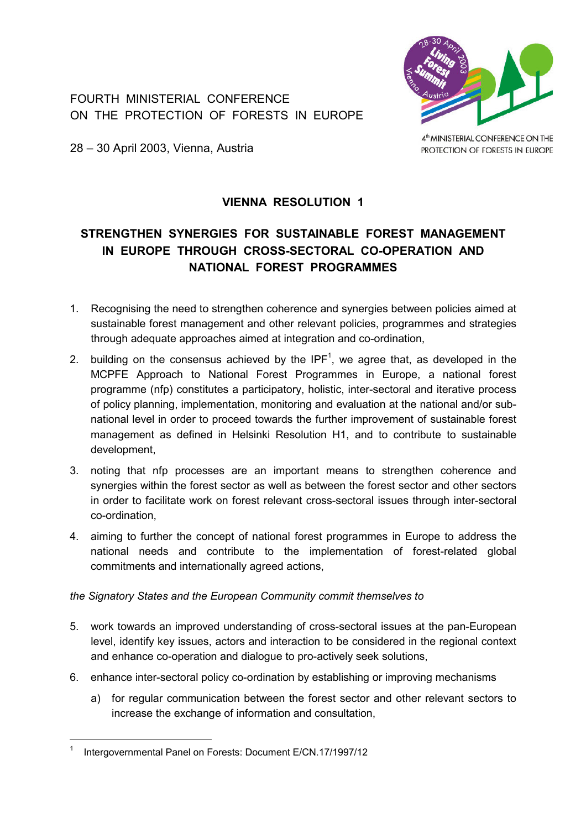FOURTH MINISTERIAL CONFERENCE ON THE PROTECTION OF FORESTS IN EUROPE



28 – 30 April 2003, Vienna, Austria

4<sup>th</sup> MINISTERIAL CONFERENCE ON THE PROTECTION OF FORESTS IN EUROPE

## **VIENNA RESOLUTION 1**

# **STRENGTHEN SYNERGIES FOR SUSTAINABLE FOREST MANAGEMENT IN EUROPE THROUGH CROSS-SECTORAL CO-OPERATION AND NATIONAL FOREST PROGRAMMES**

- 1. Recognising the need to strengthen coherence and synergies between policies aimed at sustainable forest management and other relevant policies, programmes and strategies through adequate approaches aimed at integration and co-ordination,
- 2. building on the consensus achieved by the IPF<sup>1</sup>, we agree that, as developed in the MCPFE Approach to National Forest Programmes in Europe, a national forest programme (nfp) constitutes a participatory, holistic, inter-sectoral and iterative process of policy planning, implementation, monitoring and evaluation at the national and/or subnational level in order to proceed towards the further improvement of sustainable forest management as defined in Helsinki Resolution H1, and to contribute to sustainable development,
- 3. noting that nfp processes are an important means to strengthen coherence and synergies within the forest sector as well as between the forest sector and other sectors in order to facilitate work on forest relevant cross-sectoral issues through inter-sectoral co-ordination,
- 4. aiming to further the concept of national forest programmes in Europe to address the national needs and contribute to the implementation of forest-related global commitments and internationally agreed actions,

*the Signatory States and the European Community commit themselves to* 

- 5. work towards an improved understanding of cross-sectoral issues at the pan-European level, identify key issues, actors and interaction to be considered in the regional context and enhance co-operation and dialogue to pro-actively seek solutions,
- 6. enhance inter-sectoral policy co-ordination by establishing or improving mechanisms
	- a) for regular communication between the forest sector and other relevant sectors to increase the exchange of information and consultation,

<span id="page-0-0"></span><sup>1</sup> Intergovernmental Panel on Forests: Document E/CN.17/1997/12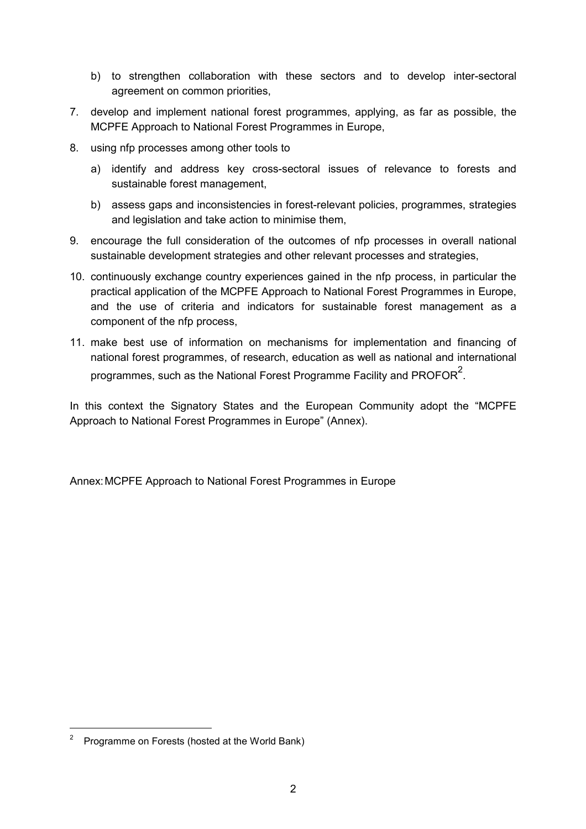- b) to strengthen collaboration with these sectors and to develop inter-sectoral agreement on common priorities,
- 7. develop and implement national forest programmes, applying, as far as possible, the MCPFE Approach to National Forest Programmes in Europe,
- 8. using nfp processes among other tools to
	- a) identify and address key cross-sectoral issues of relevance to forests and sustainable forest management,
	- b) assess gaps and inconsistencies in forest-relevant policies, programmes, strategies and legislation and take action to minimise them,
- 9. encourage the full consideration of the outcomes of nfp processes in overall national sustainable development strategies and other relevant processes and strategies,
- 10. continuously exchange country experiences gained in the nfp process, in particular the practical application of the MCPFE Approach to National Forest Programmes in Europe, and the use of criteria and indicators for sustainable forest management as a component of the nfp process,
- 11. make best use of information on mechanisms for implementation and financing of national forest programmes, of research, education as well as national and international programmes, such as the National Forest Programme Facility and PROFOR $^2$  $^2$ .

In this context the Signatory States and the European Community adopt the "MCPFE" Approach to National Forest Programmes in Europe" (Annex).

Annex:MCPFE Approach to National Forest Programmes in Europe

 $\overline{a}$ 

<span id="page-1-0"></span><sup>2</sup> Programme on Forests (hosted at the World Bank)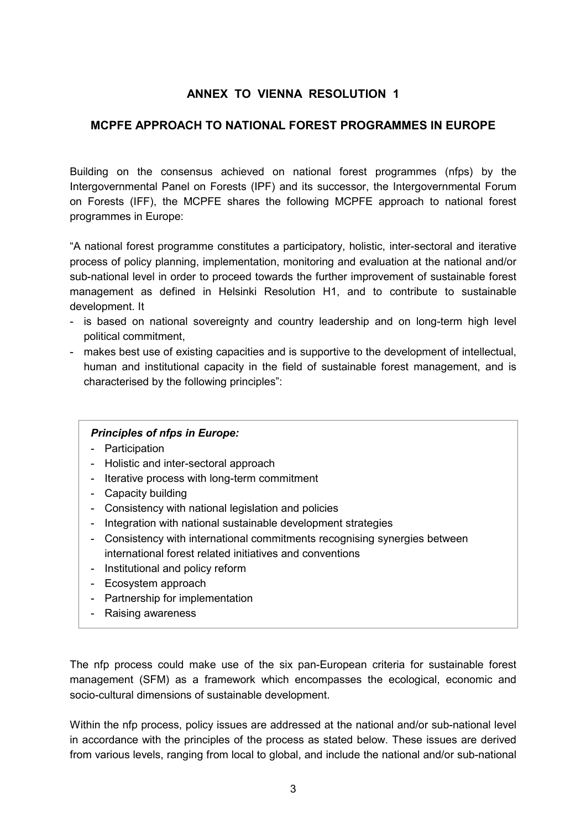## **ANNEX TO VIENNA RESOLUTION 1**

### **MCPFE APPROACH TO NATIONAL FOREST PROGRAMMES IN EUROPE**

Building on the consensus achieved on national forest programmes (nfps) by the Intergovernmental Panel on Forests (IPF) and its successor, the Intergovernmental Forum on Forests (IFF), the MCPFE shares the following MCPFE approach to national forest programmes in Europe:

ìA national forest programme constitutes a participatory, holistic, inter-sectoral and iterative process of policy planning, implementation, monitoring and evaluation at the national and/or sub-national level in order to proceed towards the further improvement of sustainable forest management as defined in Helsinki Resolution H1, and to contribute to sustainable development. It

- is based on national sovereignty and country leadership and on long-term high level political commitment,
- makes best use of existing capacities and is supportive to the development of intellectual, human and institutional capacity in the field of sustainable forest management, and is characterised by the following principles":

#### *Principles of nfps in Europe:*

- Participation
- Holistic and inter-sectoral approach
- Iterative process with long-term commitment
- Capacity building
- Consistency with national legislation and policies
- Integration with national sustainable development strategies
- Consistency with international commitments recognising synergies between international forest related initiatives and conventions
- Institutional and policy reform
- Ecosystem approach
- Partnership for implementation
- Raising awareness

The nfp process could make use of the six pan-European criteria for sustainable forest management (SFM) as a framework which encompasses the ecological, economic and socio-cultural dimensions of sustainable development.

Within the nfp process, policy issues are addressed at the national and/or sub-national level in accordance with the principles of the process as stated below. These issues are derived from various levels, ranging from local to global, and include the national and/or sub-national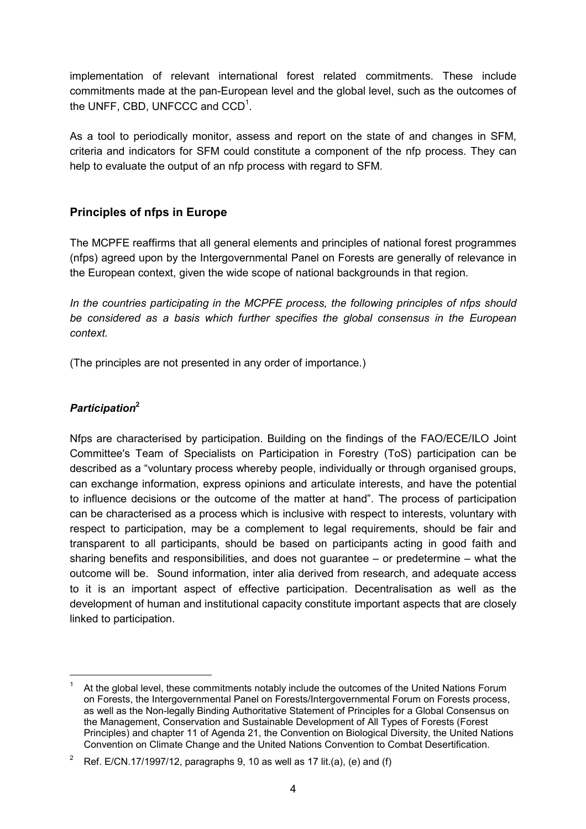implementation of relevant international forest related commitments. These include commitments made at the pan-European level and the global level, such as the outcomes of the UNFF, CBD, UNFCCC and  $CCD<sup>1</sup>$ .

As a tool to periodically monitor, assess and report on the state of and changes in SFM, criteria and indicators for SFM could constitute a component of the nfp process. They can help to evaluate the output of an nfp process with regard to SFM.

## **Principles of nfps in Europe**

The MCPFE reaffirms that all general elements and principles of national forest programmes (nfps) agreed upon by the Intergovernmental Panel on Forests are generally of relevance in the European context, given the wide scope of national backgrounds in that region.

*In the countries participating in the MCPFE process, the following principles of nfps should be considered as a basis which further specifies the global consensus in the European context.*

(The principles are not presented in any order of importance.)

# *Participation***[2](#page-3-1)**

Nfps are characterised by participation. Building on the findings of the FAO/ECE/ILO Joint Committee's Team of Specialists on Participation in Forestry (ToS) participation can be described as a "voluntary process whereby people, individually or through organised groups, can exchange information, express opinions and articulate interests, and have the potential to influence decisions or the outcome of the matter at handî. The process of participation can be characterised as a process which is inclusive with respect to interests, voluntary with respect to participation, may be a complement to legal requirements, should be fair and transparent to all participants, should be based on participants acting in good faith and sharing benefits and responsibilities, and does not guarantee  $-$  or predetermine  $-$  what the outcome will be. Sound information, inter alia derived from research, and adequate access to it is an important aspect of effective participation. Decentralisation as well as the development of human and institutional capacity constitute important aspects that are closely linked to participation.

<span id="page-3-0"></span><sup>1</sup> At the global level, these commitments notably include the outcomes of the United Nations Forum on Forests, the Intergovernmental Panel on Forests/Intergovernmental Forum on Forests process, as well as the Non-legally Binding Authoritative Statement of Principles for a Global Consensus on the Management, Conservation and Sustainable Development of All Types of Forests (Forest Principles) and chapter 11 of Agenda 21, the Convention on Biological Diversity, the United Nations Convention on Climate Change and the United Nations Convention to Combat Desertification.

<span id="page-3-1"></span><sup>2</sup> Ref. E/CN.17/1997/12, paragraphs 9, 10 as well as 17 lit.(a), (e) and (f)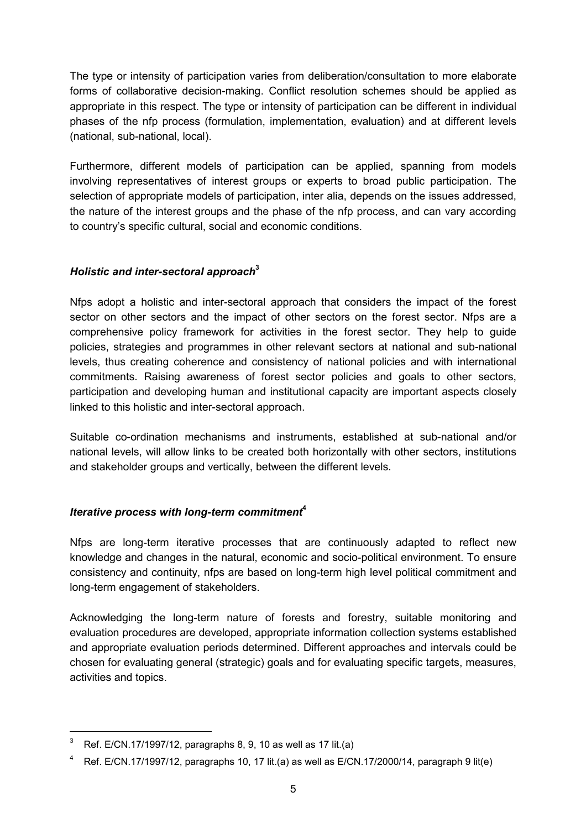The type or intensity of participation varies from deliberation/consultation to more elaborate forms of collaborative decision-making. Conflict resolution schemes should be applied as appropriate in this respect. The type or intensity of participation can be different in individual phases of the nfp process (formulation, implementation, evaluation) and at different levels (national, sub-national, local).

Furthermore, different models of participation can be applied, spanning from models involving representatives of interest groups or experts to broad public participation. The selection of appropriate models of participation, inter alia, depends on the issues addressed, the nature of the interest groups and the phase of the nfp process, and can vary according to countryís specific cultural, social and economic conditions.

### *Holistic and inter-sectoral approach***[3](#page-4-0)**

Nfps adopt a holistic and inter-sectoral approach that considers the impact of the forest sector on other sectors and the impact of other sectors on the forest sector. Nfps are a comprehensive policy framework for activities in the forest sector. They help to guide policies, strategies and programmes in other relevant sectors at national and sub-national levels, thus creating coherence and consistency of national policies and with international commitments. Raising awareness of forest sector policies and goals to other sectors, participation and developing human and institutional capacity are important aspects closely linked to this holistic and inter-sectoral approach.

Suitable co-ordination mechanisms and instruments, established at sub-national and/or national levels, will allow links to be created both horizontally with other sectors, institutions and stakeholder groups and vertically, between the different levels.

## *Iterative process with long-term commitment***[4](#page-4-1)**

Nfps are long-term iterative processes that are continuously adapted to reflect new knowledge and changes in the natural, economic and socio-political environment. To ensure consistency and continuity, nfps are based on long-term high level political commitment and long-term engagement of stakeholders.

Acknowledging the long-term nature of forests and forestry, suitable monitoring and evaluation procedures are developed, appropriate information collection systems established and appropriate evaluation periods determined. Different approaches and intervals could be chosen for evaluating general (strategic) goals and for evaluating specific targets, measures, activities and topics.

<span id="page-4-0"></span><sup>3</sup> Ref. E/CN.17/1997/12, paragraphs 8, 9, 10 as well as 17 lit.(a)

<span id="page-4-1"></span><sup>4</sup> Ref. E/CN.17/1997/12, paragraphs 10, 17 lit.(a) as well as E/CN.17/2000/14, paragraph 9 lit(e)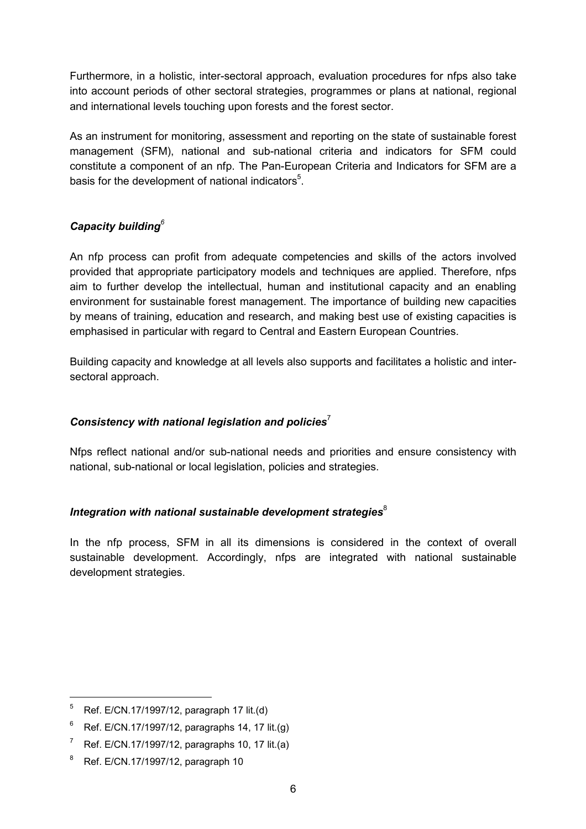Furthermore, in a holistic, inter-sectoral approach, evaluation procedures for nfps also take into account periods of other sectoral strategies, programmes or plans at national, regional and international levels touching upon forests and the forest sector.

As an instrument for monitoring, assessment and reporting on the state of sustainable forest management (SFM), national and sub-national criteria and indicators for SFM could constitute a component of an nfp. The Pan-European Criteria and Indicators for SFM are a basis for the development of national indicators $5$ [.](#page-5-0)

## *Capacity building[6](#page-5-1)*

An nfp process can profit from adequate competencies and skills of the actors involved provided that appropriate participatory models and techniques are applied. Therefore, nfps aim to further develop the intellectual, human and institutional capacity and an enabling environment for sustainable forest management. The importance of building new capacities by means of training, education and research, and making best use of existing capacities is emphasised in particular with regard to Central and Eastern European Countries.

Building capacity and knowledge at all levels also supports and facilitates a holistic and intersectoral approach.

## *Consistency with national legislation and policies*[7](#page-5-2)

Nfps reflect national and/or sub-national needs and priorities and ensure consistency with national, sub-national or local legislation, policies and strategies.

## *Integration with national sustainable development strategies*<sup>[8](#page-5-3)</sup>

In the nfp process, SFM in all its dimensions is considered in the context of overall sustainable development. Accordingly, nfps are integrated with national sustainable development strategies.

 $\overline{a}$ 

<span id="page-5-0"></span> $5$  Ref. E/CN.17/1997/12, paragraph 17 lit.(d)

<span id="page-5-1"></span><sup>6</sup> Ref. E/CN.17/1997/12, paragraphs 14, 17 lit.(g)

<span id="page-5-2"></span> $7$  Ref. E/CN.17/1997/12, paragraphs 10, 17 lit.(a)

<span id="page-5-3"></span><sup>8</sup> Ref. E/CN.17/1997/12, paragraph 10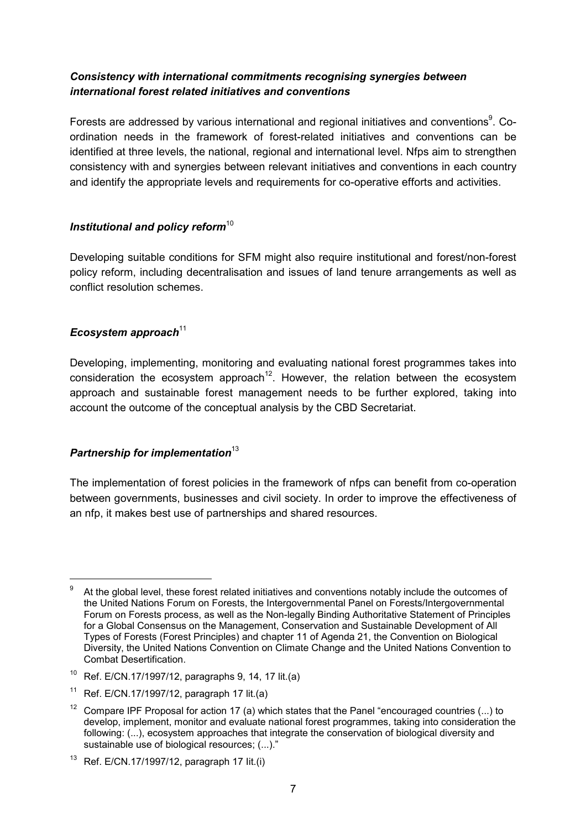### *Consistency with international commitments recognising synergies between international forest related initiatives and conventions*

Forests are addressed by various international and regional initiatives and conventions $^9$  $^9$ . Coordination needs in the framework of forest-related initiatives and conventions can be identified at three levels, the national, regional and international level. Nfps aim to strengthen consistency with and synergies between relevant initiatives and conventions in each country and identify the appropriate levels and requirements for co-operative efforts and activities.

### *Institutional and policy reform*<sup>[10](#page-6-1)</sup>

Developing suitable conditions for SFM might also require institutional and forest/non-forest policy reform, including decentralisation and issues of land tenure arrangements as well as conflict resolution schemes.

### *Ecosystem approach*<sup>[11](#page-6-2)</sup>

 $\overline{a}$ 

Developing, implementing, monitoring and evaluating national forest programmes takes into  $\frac{1}{2}$  consideration the ecosystem approach<sup>12</sup>. However, the relation between the ecosystem approach and sustainable forest management needs to be further explored, taking into account the outcome of the conceptual analysis by the CBD Secretariat.

#### **Partnership for implementation**<sup>[13](#page-6-4)</sup>

The implementation of forest policies in the framework of nfps can benefit from co-operation between governments, businesses and civil society. In order to improve the effectiveness of an nfp, it makes best use of partnerships and shared resources.

<span id="page-6-0"></span>At the global level, these forest related initiatives and conventions notably include the outcomes of the United Nations Forum on Forests, the Intergovernmental Panel on Forests/Intergovernmental Forum on Forests process, as well as the Non-legally Binding Authoritative Statement of Principles for a Global Consensus on the Management, Conservation and Sustainable Development of All Types of Forests (Forest Principles) and chapter 11 of Agenda 21, the Convention on Biological Diversity, the United Nations Convention on Climate Change and the United Nations Convention to Combat Desertification.

<span id="page-6-1"></span><sup>10</sup> Ref. E/CN.17/1997/12, paragraphs 9, 14, 17 lit.(a)

<span id="page-6-2"></span><sup>&</sup>lt;sup>11</sup> Ref. E/CN.17/1997/12, paragraph 17 lit.(a)

<span id="page-6-3"></span><sup>&</sup>lt;sup>12</sup> Compare IPF Proposal for action 17 (a) which states that the Panel "encouraged countries (...) to develop, implement, monitor and evaluate national forest programmes, taking into consideration the following: (...), ecosystem approaches that integrate the conservation of biological diversity and sustainable use of biological resources; (...)."

<span id="page-6-4"></span><sup>&</sup>lt;sup>13</sup> Ref. E/CN.17/1997/12, paragraph 17 lit.(i)